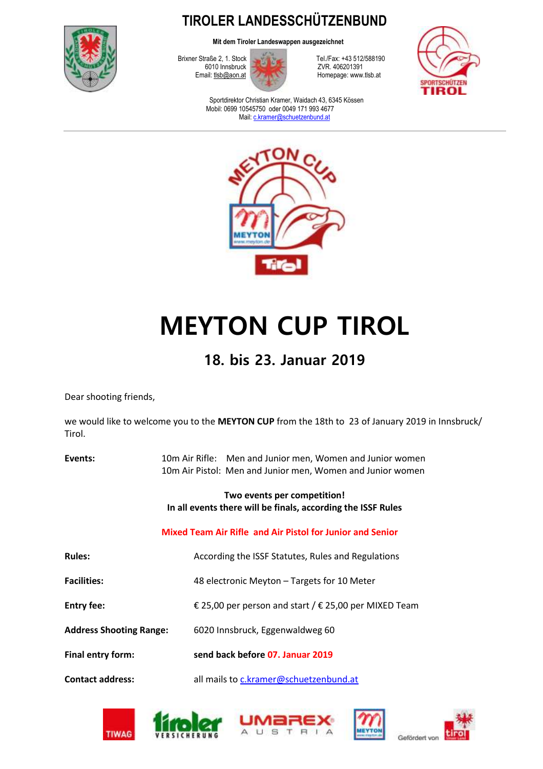

**TIROLER LANDESSCHÜTZENBUND**

**Mit dem Tiroler Landeswappen ausgezeichnet**



Brixner Straße 2, 1. Stock Tel./Fax: +43 512/588190<br>6010 Innsbruck Tel./Fax: +43 512/588190 Homepage: www.tlsb.at



Sportdirektor Christian Kramer, Waidach 43, 6345 Kössen Mobil: 0699 10545750 oder 0049 171 993 4677 Mail: [c.kramer@schuetzenbund.at](mailto:c.kramer@schuetzenbund.at)



# **MEYTON CUP TIROL**

### **18. bis 23. Januar 2019**

Dear shooting friends,

we would like to welcome you to the **MEYTON CUP** from the 18th to 23 of January 2019 in Innsbruck/ Tirol.

| Events:                        | 10m Air Rifle: Men and Junior men, Women and Junior women<br>10m Air Pistol: Men and Junior men, Women and Junior women |  |  |  |
|--------------------------------|-------------------------------------------------------------------------------------------------------------------------|--|--|--|
|                                | Two events per competition!<br>In all events there will be finals, according the ISSF Rules                             |  |  |  |
|                                | Mixed Team Air Rifle and Air Pistol for Junior and Senior                                                               |  |  |  |
| <b>Rules:</b>                  | According the ISSF Statutes, Rules and Regulations                                                                      |  |  |  |
| <b>Facilities:</b>             | 48 electronic Meyton - Targets for 10 Meter                                                                             |  |  |  |
| <b>Entry fee:</b>              | € 25,00 per person and start / € 25,00 per MIXED Team                                                                   |  |  |  |
| <b>Address Shooting Range:</b> | 6020 Innsbruck, Eggenwaldweg 60                                                                                         |  |  |  |
| Final entry form:              | send back before 07. Januar 2019                                                                                        |  |  |  |
| <b>Contact address:</b>        | all mails to c.kramer@schuetzenbund.at                                                                                  |  |  |  |









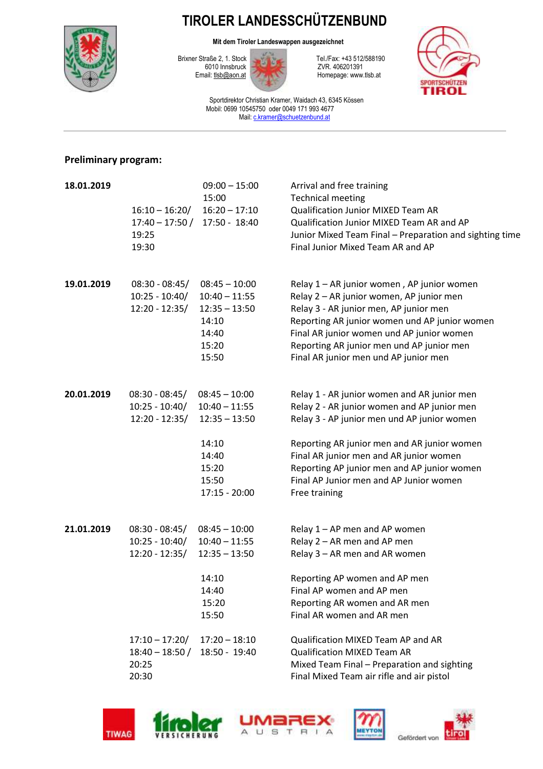## **TIROLER LANDESSCHÜTZENBUND**



**Mit dem Tiroler Landeswappen ausgezeichnet**



Homepage: www.tlsb.at



Sportdirektor Christian Kramer, Waidach 43, 6345 Kössen Mobil: 0699 10545750 oder 0049 171 993 4677 Mail: [c.kramer@schuetzenbund.at](mailto:c.kramer@schuetzenbund.at)

#### **Preliminary program:**

| 18.01.2019 | $16:10 - 16:20/$<br>19:25<br>19:30                       | $09:00 - 15:00$<br>15:00<br>$16:20 - 17:10$<br>17:40 - 17:50 / 17:50 - 18:40                               | Arrival and free training<br><b>Technical meeting</b><br>Qualification Junior MIXED Team AR<br>Qualification Junior MIXED Team AR and AP<br>Junior Mixed Team Final - Preparation and sighting time<br>Final Junior Mixed Team AR and AP                                                                                                       |
|------------|----------------------------------------------------------|------------------------------------------------------------------------------------------------------------|------------------------------------------------------------------------------------------------------------------------------------------------------------------------------------------------------------------------------------------------------------------------------------------------------------------------------------------------|
| 19.01.2019 | $08:30 - 08:45/$<br>$10:25 - 10:40/$<br>$12:20 - 12:35/$ | $08:45 - 10:00$<br>$10:40 - 11:55$<br>$12:35 - 13:50$<br>14:10<br>14:40<br>15:20<br>15:50                  | Relay 1 - AR junior women, AP junior women<br>Relay 2 - AR junior women, AP junior men<br>Relay 3 - AR junior men, AP junior men<br>Reporting AR junior women und AP junior women<br>Final AR junior women und AP junior women<br>Reporting AR junior men und AP junior men<br>Final AR junior men und AP junior men                           |
| 20.01.2019 | $08:30 - 08:45/$<br>$10:25 - 10:40/$<br>$12:20 - 12:35/$ | $08:45 - 10:00$<br>$10:40 - 11:55$<br>$12:35 - 13:50$<br>14:10<br>14:40<br>15:20<br>15:50<br>17:15 - 20:00 | Relay 1 - AR junior women and AR junior men<br>Relay 2 - AR junior women and AP junior men<br>Relay 3 - AP junior men und AP junior women<br>Reporting AR junior men and AR junior women<br>Final AR junior men and AR junior women<br>Reporting AP junior men and AP junior women<br>Final AP Junior men and AP Junior women<br>Free training |
| 21.01.2019 | $08:30 - 08:45/$<br>$10:25 - 10:40/$<br>$12:20 - 12:35/$ | $08:45 - 10:00$<br>$10:40 - 11:55$<br>$12:35 - 13:50$<br>14:10<br>14:40<br>15:20<br>15:50                  | Relay 1 - AP men and AP women<br>Relay 2 - AR men and AP men<br>Relay 3 - AR men and AR women<br>Reporting AP women and AP men<br>Final AP women and AP men<br>Reporting AR women and AR men<br>Final AR women and AR men                                                                                                                      |
|            | $17:10 - 17:20/$<br>$18:40 - 18:50/$<br>20:25<br>20:30   | $17:20 - 18:10$<br>18:50 - 19:40                                                                           | Qualification MIXED Team AP and AR<br><b>Qualification MIXED Team AR</b><br>Mixed Team Final - Preparation and sighting<br>Final Mixed Team air rifle and air pistol                                                                                                                                                                           |



VERSICHERUNG